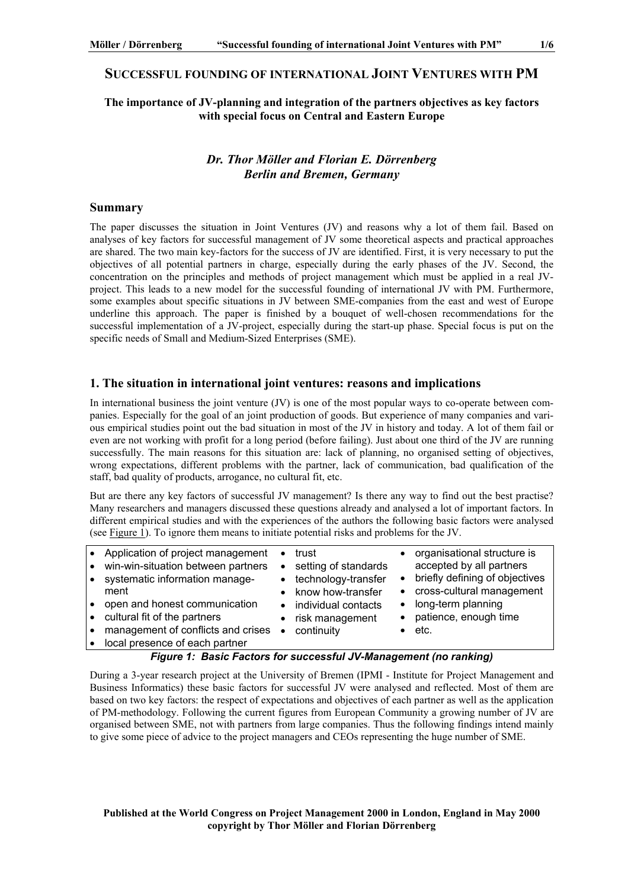# **SUCCESSFUL FOUNDING OF INTERNATIONAL JOINT VENTURES WITH PM**

### **The importance of JV-planning and integration of the partners objectives as key factors with special focus on Central and Eastern Europe**

# *Dr. Thor Möller and Florian E. Dörrenberg Berlin and Bremen, Germany*

#### **Summary**

The paper discusses the situation in Joint Ventures (JV) and reasons why a lot of them fail. Based on analyses of key factors for successful management of JV some theoretical aspects and practical approaches are shared. The two main key-factors for the success of JV are identified. First, it is very necessary to put the objectives of all potential partners in charge, especially during the early phases of the JV. Second, the concentration on the principles and methods of project management which must be applied in a real JVproject. This leads to a new model for the successful founding of international JV with PM. Furthermore, some examples about specific situations in JV between SME-companies from the east and west of Europe underline this approach. The paper is finished by a bouquet of well-chosen recommendations for the successful implementation of a JV-project, especially during the start-up phase. Special focus is put on the specific needs of Small and Medium-Sized Enterprises (SME).

#### **1. The situation in international joint ventures: reasons and implications**

In international business the joint venture (JV) is one of the most popular ways to co-operate between companies. Especially for the goal of an joint production of goods. But experience of many companies and various empirical studies point out the bad situation in most of the JV in history and today. A lot of them fail or even are not working with profit for a long period (before failing). Just about one third of the JV are running successfully. The main reasons for this situation are: lack of planning, no organised setting of objectives, wrong expectations, different problems with the partner, lack of communication, bad qualification of the staff, bad quality of products, arrogance, no cultural fit, etc.

But are there any key factors of successful JV management? Is there any way to find out the best practise? Many researchers and managers discussed these questions already and analysed a lot of important factors. In different empirical studies and with the experiences of the authors the following basic factors were analysed (see Figure 1). To ignore them means to initiate potential risks and problems for the JV.

| Application of project management<br>win-win-situation between partners<br>systematic information manage-<br>ment<br>open and honest communication<br>cultural fit of the partners | $\bullet$<br>$\bullet$ | trust<br>• setting of standards<br>technology-transfer<br>know how-transfer<br>individual contacts<br>risk management | $\bullet$<br>$\bullet$<br>$\bullet$ | organisational structure is<br>accepted by all partners<br>briefly defining of objectives<br>cross-cultural management<br>long-term planning<br>patience, enough time |
|------------------------------------------------------------------------------------------------------------------------------------------------------------------------------------|------------------------|-----------------------------------------------------------------------------------------------------------------------|-------------------------------------|-----------------------------------------------------------------------------------------------------------------------------------------------------------------------|
|                                                                                                                                                                                    |                        |                                                                                                                       |                                     |                                                                                                                                                                       |
| management of conflicts and crises<br>local presence of each partner                                                                                                               | $\bullet$              | continuity                                                                                                            |                                     | etc.                                                                                                                                                                  |

#### *Figure 1: Basic Factors for successful JV-Management (no ranking)*

During a 3-year research project at the University of Bremen (IPMI - Institute for Project Management and Business Informatics) these basic factors for successful JV were analysed and reflected. Most of them are based on two key factors: the respect of expectations and objectives of each partner as well as the application of PM-methodology. Following the current figures from European Community a growing number of JV are organised between SME, not with partners from large companies. Thus the following findings intend mainly to give some piece of advice to the project managers and CEOs representing the huge number of SME.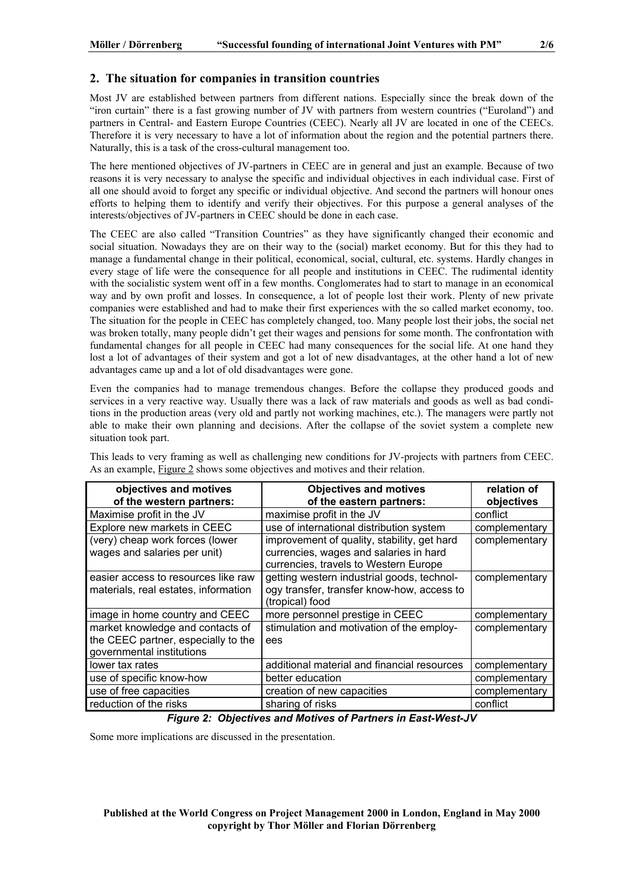### **2. The situation for companies in transition countries**

Most JV are established between partners from different nations. Especially since the break down of the "iron curtain" there is a fast growing number of JV with partners from western countries ("Euroland") and partners in Central- and Eastern Europe Countries (CEEC). Nearly all JV are located in one of the CEECs. Therefore it is very necessary to have a lot of information about the region and the potential partners there. Naturally, this is a task of the cross-cultural management too.

The here mentioned objectives of JV-partners in CEEC are in general and just an example. Because of two reasons it is very necessary to analyse the specific and individual objectives in each individual case. First of all one should avoid to forget any specific or individual objective. And second the partners will honour ones efforts to helping them to identify and verify their objectives. For this purpose a general analyses of the interests/objectives of JV-partners in CEEC should be done in each case.

The CEEC are also called "Transition Countries" as they have significantly changed their economic and social situation. Nowadays they are on their way to the (social) market economy. But for this they had to manage a fundamental change in their political, economical, social, cultural, etc. systems. Hardly changes in every stage of life were the consequence for all people and institutions in CEEC. The rudimental identity with the socialistic system went off in a few months. Conglomerates had to start to manage in an economical way and by own profit and losses. In consequence, a lot of people lost their work. Plenty of new private companies were established and had to make their first experiences with the so called market economy, too. The situation for the people in CEEC has completely changed, too. Many people lost their jobs, the social net was broken totally, many people didn't get their wages and pensions for some month. The confrontation with fundamental changes for all people in CEEC had many consequences for the social life. At one hand they lost a lot of advantages of their system and got a lot of new disadvantages, at the other hand a lot of new advantages came up and a lot of old disadvantages were gone.

Even the companies had to manage tremendous changes. Before the collapse they produced goods and services in a very reactive way. Usually there was a lack of raw materials and goods as well as bad conditions in the production areas (very old and partly not working machines, etc.). The managers were partly not able to make their own planning and decisions. After the collapse of the soviet system a complete new situation took part.

| objectives and motives                                          | <b>Objectives and motives</b>                                                         | relation of   |
|-----------------------------------------------------------------|---------------------------------------------------------------------------------------|---------------|
| of the western partners:                                        | of the eastern partners:                                                              | objectives    |
| Maximise profit in the JV                                       | maximise profit in the JV                                                             | conflict      |
| Explore new markets in CEEC                                     | use of international distribution system                                              | complementary |
| (very) cheap work forces (lower<br>wages and salaries per unit) | improvement of quality, stability, get hard<br>currencies, wages and salaries in hard | complementary |
|                                                                 | currencies, travels to Western Europe                                                 |               |
| easier access to resources like raw                             | getting western industrial goods, technol-                                            | complementary |
| materials, real estates, information                            | ogy transfer, transfer know-how, access to<br>(tropical) food                         |               |
| image in home country and CEEC                                  | more personnel prestige in CEEC                                                       | complementary |
| market knowledge and contacts of                                | stimulation and motivation of the employ-                                             | complementary |
| the CEEC partner, especially to the                             | ees                                                                                   |               |
| governmental institutions                                       |                                                                                       |               |
| lower tax rates                                                 | additional material and financial resources                                           | complementary |
| use of specific know-how                                        | better education                                                                      | complementary |
| use of free capacities                                          | creation of new capacities                                                            | complementary |
| reduction of the risks                                          | sharing of risks                                                                      | conflict      |

This leads to very framing as well as challenging new conditions for JV-projects with partners from CEEC. As an example, Figure 2 shows some objectives and motives and their relation.

### *Figure 2: Objectives and Motives of Partners in East-West-JV*

Some more implications are discussed in the presentation.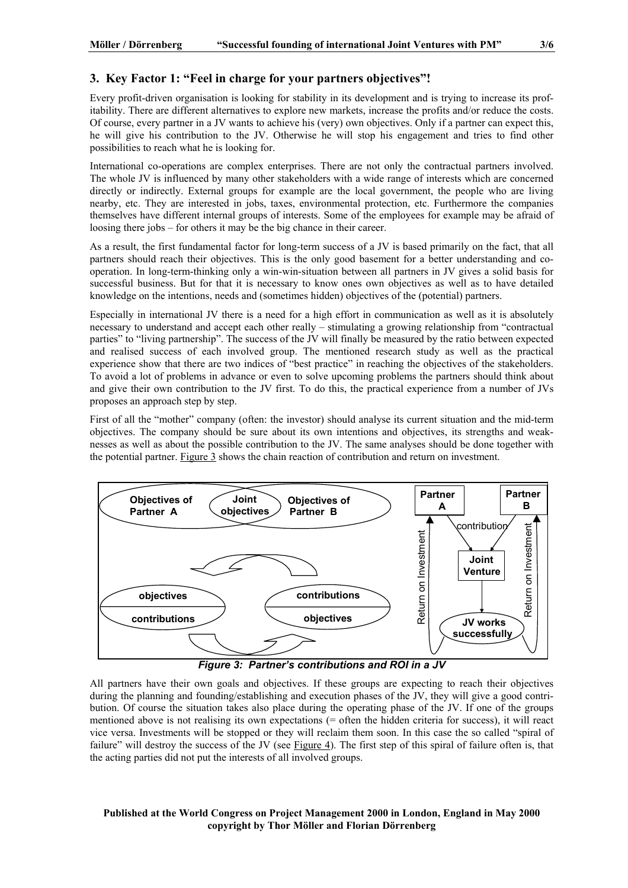# **3. Key Factor 1: "Feel in charge for your partners objectives"!**

Every profit-driven organisation is looking for stability in its development and is trying to increase its profitability. There are different alternatives to explore new markets, increase the profits and/or reduce the costs. Of course, every partner in a JV wants to achieve his (very) own objectives. Only if a partner can expect this, he will give his contribution to the JV. Otherwise he will stop his engagement and tries to find other possibilities to reach what he is looking for.

International co-operations are complex enterprises. There are not only the contractual partners involved. The whole JV is influenced by many other stakeholders with a wide range of interests which are concerned directly or indirectly. External groups for example are the local government, the people who are living nearby, etc. They are interested in jobs, taxes, environmental protection, etc. Furthermore the companies themselves have different internal groups of interests. Some of the employees for example may be afraid of loosing there jobs – for others it may be the big chance in their career.

As a result, the first fundamental factor for long-term success of a JV is based primarily on the fact, that all partners should reach their objectives. This is the only good basement for a better understanding and cooperation. In long-term-thinking only a win-win-situation between all partners in JV gives a solid basis for successful business. But for that it is necessary to know ones own objectives as well as to have detailed knowledge on the intentions, needs and (sometimes hidden) objectives of the (potential) partners.

Especially in international JV there is a need for a high effort in communication as well as it is absolutely necessary to understand and accept each other really – stimulating a growing relationship from "contractual parties" to "living partnership". The success of the JV will finally be measured by the ratio between expected and realised success of each involved group. The mentioned research study as well as the practical experience show that there are two indices of "best practice" in reaching the objectives of the stakeholders. To avoid a lot of problems in advance or even to solve upcoming problems the partners should think about and give their own contribution to the JV first. To do this, the practical experience from a number of JVs proposes an approach step by step.

First of all the "mother" company (often: the investor) should analyse its current situation and the mid-term objectives. The company should be sure about its own intentions and objectives, its strengths and weaknesses as well as about the possible contribution to the JV. The same analyses should be done together with the potential partner. Figure 3 shows the chain reaction of contribution and return on investment.



*Figure 3: Partner's contributions and ROI in a JV* 

All partners have their own goals and objectives. If these groups are expecting to reach their objectives during the planning and founding/establishing and execution phases of the JV, they will give a good contribution. Of course the situation takes also place during the operating phase of the JV. If one of the groups mentioned above is not realising its own expectations (= often the hidden criteria for success), it will react vice versa. Investments will be stopped or they will reclaim them soon. In this case the so called "spiral of failure" will destroy the success of the JV (see Figure 4). The first step of this spiral of failure often is, that the acting parties did not put the interests of all involved groups.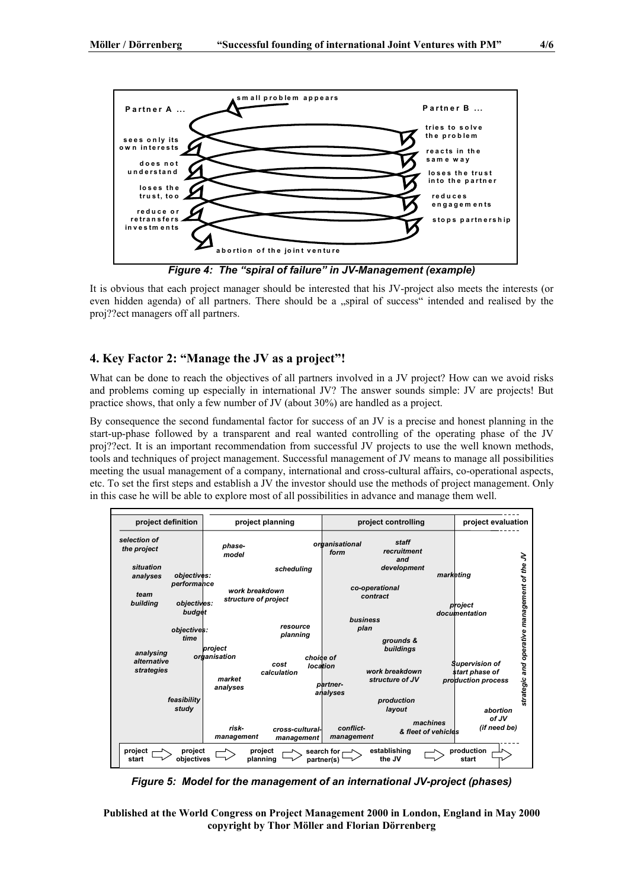

It is obvious that each project manager should be interested that his JV-project also meets the interests (or even hidden agenda) of all partners. There should be a "spiral of success" intended and realised by the proj??ect managers off all partners.

# **4. Key Factor 2: "Manage the JV as a project"!**

What can be done to reach the objectives of all partners involved in a JV project? How can we avoid risks and problems coming up especially in international JV? The answer sounds simple: JV are projects! But practice shows, that only a few number of JV (about 30%) are handled as a project.

By consequence the second fundamental factor for success of an JV is a precise and honest planning in the start-up-phase followed by a transparent and real wanted controlling of the operating phase of the JV proj??ect. It is an important recommendation from successful JV projects to use the well known methods, tools and techniques of project management. Successful management of JV means to manage all possibilities meeting the usual management of a company, international and cross-cultural affairs, co-operational aspects, etc. To set the first steps and establish a JV the investor should use the methods of project management. Only in this case he will be able to explore most of all possibilities in advance and manage them well.



*Figure 5: Model for the management of an international JV-project (phases)*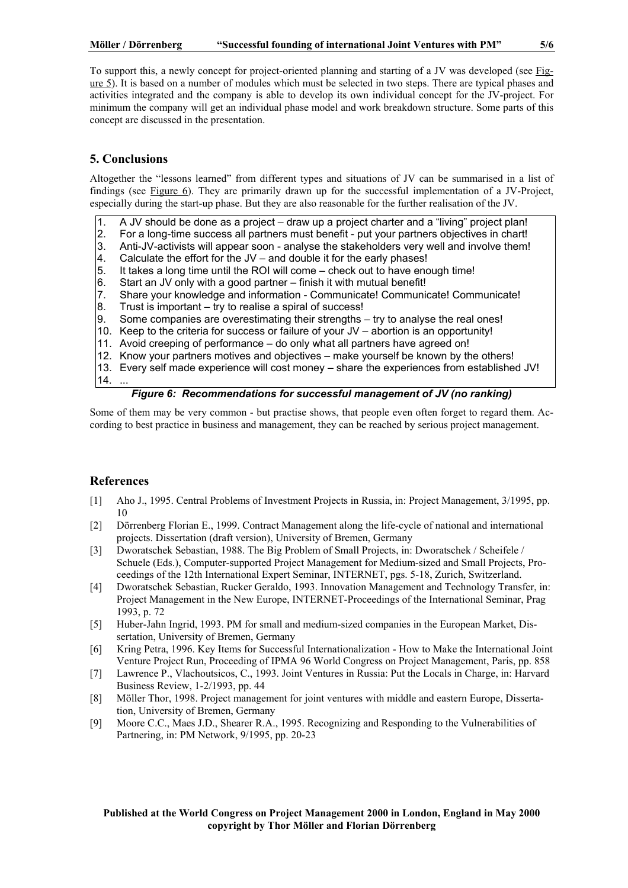#### **Möller / Dörrenberg "Successful founding of international Joint Ventures with PM" 5/6**

To support this, a newly concept for project-oriented planning and starting of a JV was developed (see Figure 5). It is based on a number of modules which must be selected in two steps. There are typical phases and activities integrated and the company is able to develop its own individual concept for the JV-project. For minimum the company will get an individual phase model and work breakdown structure. Some parts of this concept are discussed in the presentation.

# **5. Conclusions**

Altogether the "lessons learned" from different types and situations of JV can be summarised in a list of findings (see Figure 6). They are primarily drawn up for the successful implementation of a JV-Project, especially during the start-up phase. But they are also reasonable for the further realisation of the JV.

- 1. A JV should be done as a project draw up a project charter and a "living" project plan!
- 2. For a long-time success all partners must benefit put your partners objectives in chart!
- 3. Anti-JV-activists will appear soon analyse the stakeholders very well and involve them!
- 4. Calculate the effort for the  $JV$  and double it for the early phases!<br>5. It takes a long time until the ROI will come check out to have end
- It takes a long time until the ROI will come check out to have enough time!
- 6. Start an JV only with a good partner finish it with mutual benefit!
- 7. Share your knowledge and information Communicate! Communicate! Communicate!
- 8. Trust is important try to realise a spiral of success!<br>9. Some companies are overestimating their strengths.
- Some companies are overestimating their strengths try to analyse the real ones!
- 10. Keep to the criteria for success or failure of your JV abortion is an opportunity!
- 11. Avoid creeping of performance do only what all partners have agreed on!
- 12. Know your partners motives and objectives make yourself be known by the others!
- 13. Every self made experience will cost money share the experiences from established JV! 14. ...

### *Figure 6: Recommendations for successful management of JV (no ranking)*

Some of them may be very common - but practise shows, that people even often forget to regard them. According to best practice in business and management, they can be reached by serious project management.

# **References**

- [1] Aho J., 1995. Central Problems of Investment Projects in Russia, in: Project Management, 3/1995, pp. 10
- [2] Dörrenberg Florian E., 1999. Contract Management along the life-cycle of national and international projects. Dissertation (draft version), University of Bremen, Germany
- [3] Dworatschek Sebastian, 1988. The Big Problem of Small Projects, in: Dworatschek / Scheifele / Schuele (Eds.), Computer-supported Project Management for Medium-sized and Small Projects, Proceedings of the 12th International Expert Seminar, INTERNET, pgs. 5-18, Zurich, Switzerland.
- [4] Dworatschek Sebastian, Rucker Geraldo, 1993. Innovation Management and Technology Transfer, in: Project Management in the New Europe, INTERNET-Proceedings of the International Seminar, Prag 1993, p. 72
- [5] Huber-Jahn Ingrid, 1993. PM for small and medium-sized companies in the European Market, Dissertation, University of Bremen, Germany
- [6] Kring Petra, 1996. Key Items for Successful Internationalization How to Make the International Joint Venture Project Run, Proceeding of IPMA 96 World Congress on Project Management, Paris, pp. 858
- [7] Lawrence P., Vlachoutsicos, C., 1993. Joint Ventures in Russia: Put the Locals in Charge, in: Harvard Business Review, 1-2/1993, pp. 44
- [8] Möller Thor, 1998. Project management for joint ventures with middle and eastern Europe, Dissertation, University of Bremen, Germany
- [9] Moore C.C., Maes J.D., Shearer R.A., 1995. Recognizing and Responding to the Vulnerabilities of Partnering, in: PM Network, 9/1995, pp. 20-23